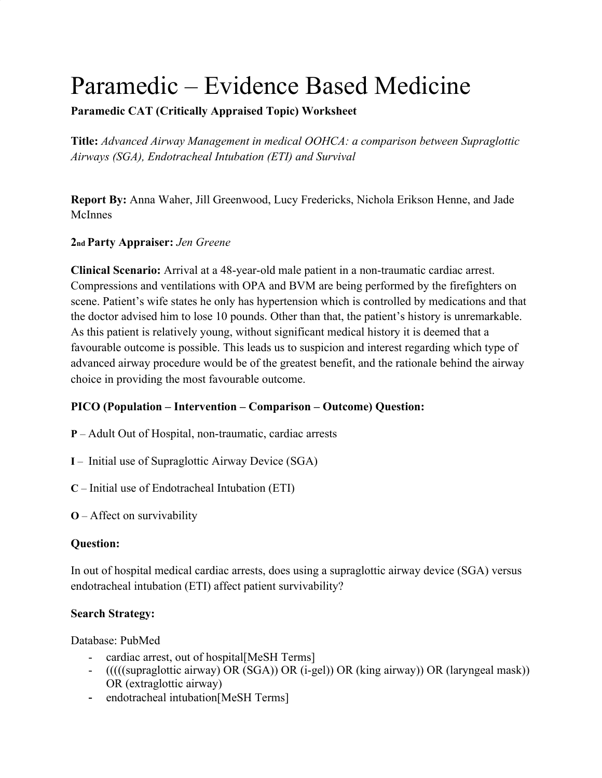# Paramedic – Evidence Based Medicine

# **Paramedic CAT (Critically Appraised Topic) Worksheet**

**Title:** *Advanced Airway Management in medical OOHCA: a comparison between Supraglottic Airways (SGA), Endotracheal Intubation (ETI) and Survival*

**Report By:** Anna Waher, Jill Greenwood, Lucy Fredericks, Nichola Erikson Henne, and Jade McInnes

### **2nd Party Appraiser:** *Jen Greene*

**Clinical Scenario:** Arrival at a 48-year-old male patient in a non-traumatic cardiac arrest. Compressions and ventilations with OPA and BVM are being performed by the firefighters on scene. Patient's wife states he only has hypertension which is controlled by medications and that the doctor advised him to lose 10 pounds. Other than that, the patient's history is unremarkable. As this patient is relatively young, without significant medical history it is deemed that a favourable outcome is possible. This leads us to suspicion and interest regarding which type of advanced airway procedure would be of the greatest benefit, and the rationale behind the airway choice in providing the most favourable outcome.

# **PICO (Population – Intervention – Comparison – Outcome) Question:**

- **P** Adult Out of Hospital, non-traumatic, cardiac arrests
- **I** Initial use of Supraglottic Airway Device (SGA)
- **C** Initial use of Endotracheal Intubation (ETI)
- **O** Affect on survivability

### **Question:**

In out of hospital medical cardiac arrests, does using a supraglottic airway device (SGA) versus endotracheal intubation (ETI) affect patient survivability?

### **Search Strategy:**

Database: PubMed

- cardiac arrest, out of hospital[MeSH Terms]
- (((((supraglottic airway) OR (SGA)) OR (i-gel)) OR (king airway)) OR (laryngeal mask)) OR (extraglottic airway)
- endotracheal intubation[MeSH Terms]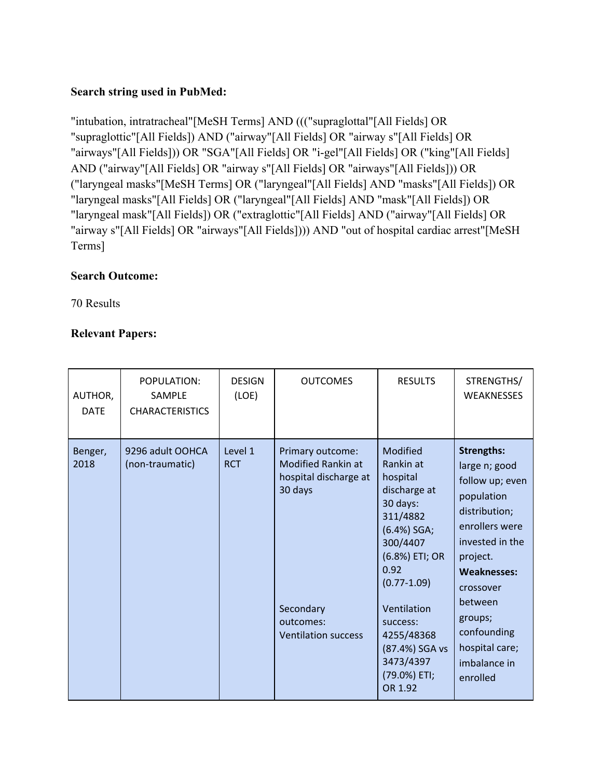### **Search string used in PubMed:**

"intubation, intratracheal"[MeSH Terms] AND ((("supraglottal"[All Fields] OR "supraglottic"[All Fields]) AND ("airway"[All Fields] OR "airway s"[All Fields] OR "airways"[All Fields])) OR "SGA"[All Fields] OR "i-gel"[All Fields] OR ("king"[All Fields] AND ("airway"[All Fields] OR "airway s"[All Fields] OR "airways"[All Fields])) OR ("laryngeal masks"[MeSH Terms] OR ("laryngeal"[All Fields] AND "masks"[All Fields]) OR "laryngeal masks"[All Fields] OR ("laryngeal"[All Fields] AND "mask"[All Fields]) OR "laryngeal mask"[All Fields]) OR ("extraglottic"[All Fields] AND ("airway"[All Fields] OR "airway s"[All Fields] OR "airways"[All Fields]))) AND "out of hospital cardiac arrest"[MeSH Terms]

### **Search Outcome:**

70 Results

### **Relevant Papers:**

| AUTHOR,<br><b>DATE</b> | POPULATION:<br><b>SAMPLE</b><br><b>CHARACTERISTICS</b> | <b>DESIGN</b><br>(LOE) | <b>OUTCOMES</b>                                                                   | <b>RESULTS</b>                                                                                                                                    | STRENGTHS/<br><b>WEAKNESSES</b>                                                                                                                                          |
|------------------------|--------------------------------------------------------|------------------------|-----------------------------------------------------------------------------------|---------------------------------------------------------------------------------------------------------------------------------------------------|--------------------------------------------------------------------------------------------------------------------------------------------------------------------------|
| Benger,<br>2018        | 9296 adult OOHCA<br>(non-traumatic)                    | Level 1<br><b>RCT</b>  | Primary outcome:<br><b>Modified Rankin at</b><br>hospital discharge at<br>30 days | Modified<br>Rankin at<br>hospital<br>discharge at<br>30 days:<br>311/4882<br>(6.4%) SGA;<br>300/4407<br>(6.8%) ETI; OR<br>0.92<br>$(0.77 - 1.09)$ | <b>Strengths:</b><br>large n; good<br>follow up; even<br>population<br>distribution;<br>enrollers were<br>invested in the<br>project.<br><b>Weaknesses:</b><br>crossover |
|                        |                                                        |                        | Secondary<br>outcomes:<br><b>Ventilation success</b>                              | Ventilation<br>success:<br>4255/48368<br>(87.4%) SGA vs<br>3473/4397<br>(79.0%) ETI;<br>OR 1.92                                                   | between<br>groups;<br>confounding<br>hospital care;<br>imbalance in<br>enrolled                                                                                          |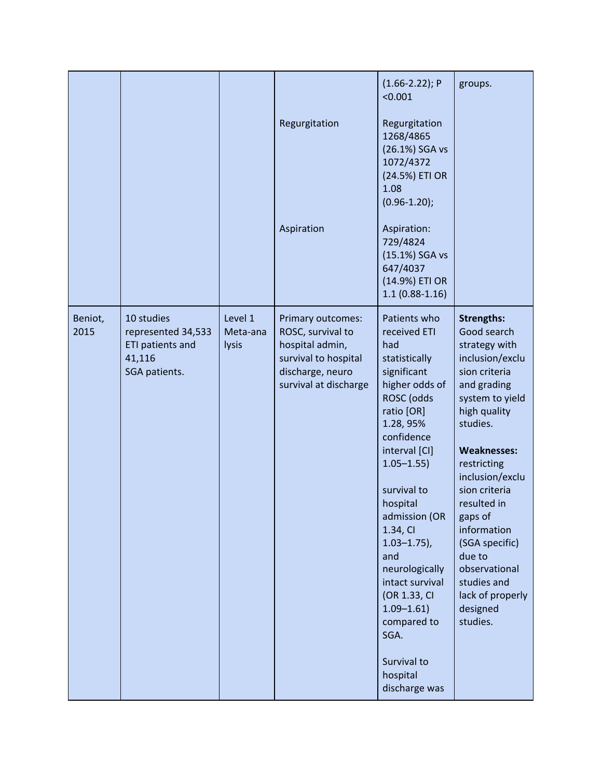|                 |                                                                                 |                              | Regurgitation<br>Aspiration                                                                                                    | $(1.66 - 2.22)$ ; P<br>< 0.001<br>Regurgitation<br>1268/4865<br>(26.1%) SGA vs<br>1072/4372<br>(24.5%) ETI OR<br>1.08<br>$(0.96 - 1.20);$<br>Aspiration:<br>729/4824<br>(15.1%) SGA vs<br>647/4037<br>(14.9%) ETI OR<br>$1.1(0.88-1.16)$                                                                                                                                                                   | groups.                                                                                                                                                                                                                                                                                                                                                                       |
|-----------------|---------------------------------------------------------------------------------|------------------------------|--------------------------------------------------------------------------------------------------------------------------------|------------------------------------------------------------------------------------------------------------------------------------------------------------------------------------------------------------------------------------------------------------------------------------------------------------------------------------------------------------------------------------------------------------|-------------------------------------------------------------------------------------------------------------------------------------------------------------------------------------------------------------------------------------------------------------------------------------------------------------------------------------------------------------------------------|
| Beniot,<br>2015 | 10 studies<br>represented 34,533<br>ETI patients and<br>41,116<br>SGA patients. | Level 1<br>Meta-ana<br>lysis | Primary outcomes:<br>ROSC, survival to<br>hospital admin,<br>survival to hospital<br>discharge, neuro<br>survival at discharge | Patients who<br>received ETI<br>had<br>statistically<br>significant<br>higher odds of<br>ROSC (odds<br>ratio [OR]<br>1.28, 95%<br>confidence<br>interval [CI]<br>$1.05 - 1.55$<br>survival to<br>hospital<br>admission (OR<br>1.34, CI<br>$1.03 - 1.75$ ),<br>and<br>neurologically<br>intact survival<br>(OR 1.33, CI<br>$1.09 - 1.61$<br>compared to<br>SGA.<br>Survival to<br>hospital<br>discharge was | <b>Strengths:</b><br>Good search<br>strategy with<br>inclusion/exclu<br>sion criteria<br>and grading<br>system to yield<br>high quality<br>studies.<br><b>Weaknesses:</b><br>restricting<br>inclusion/exclu<br>sion criteria<br>resulted in<br>gaps of<br>information<br>(SGA specific)<br>due to<br>observational<br>studies and<br>lack of properly<br>designed<br>studies. |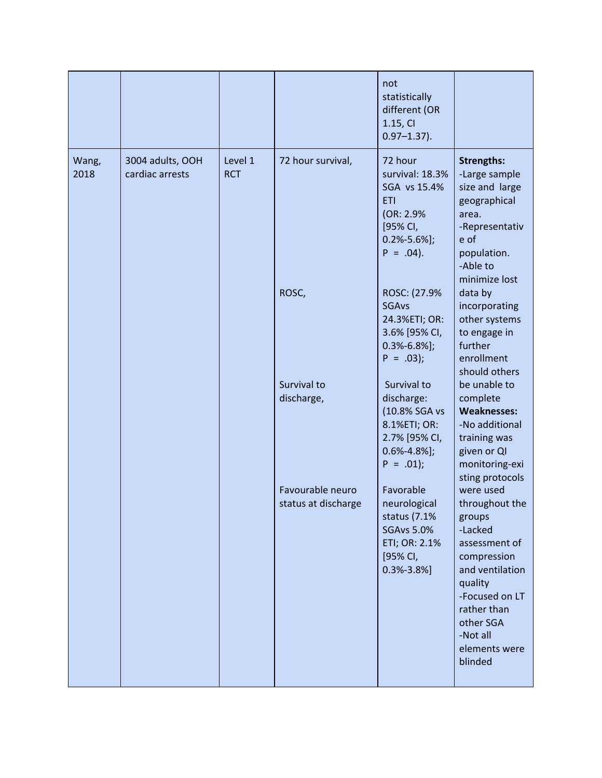|               |                                     |                       |                                         | not<br>statistically<br>different (OR<br>1.15, CI<br>$0.97 - 1.37$ ).                                                    |                                                                                                                                                                                                      |
|---------------|-------------------------------------|-----------------------|-----------------------------------------|--------------------------------------------------------------------------------------------------------------------------|------------------------------------------------------------------------------------------------------------------------------------------------------------------------------------------------------|
| Wang,<br>2018 | 3004 adults, OOH<br>cardiac arrests | Level 1<br><b>RCT</b> | 72 hour survival,                       | 72 hour<br>survival: 18.3%<br>SGA vs 15.4%<br><b>ETI</b><br>(OR: 2.9%)<br>[95% CI,<br>$0.2\% - 5.6\%$ ];<br>$P = .04$ ). | <b>Strengths:</b><br>-Large sample<br>size and large<br>geographical<br>area.<br>-Representativ<br>e of<br>population.<br>-Able to<br>minimize lost                                                  |
|               |                                     |                       | ROSC,                                   | ROSC: (27.9%<br><b>SGAvs</b><br>24.3%ETI; OR:<br>3.6% [95% CI,<br>$0.3% - 6.8%$ ];<br>$P = .03$ ;                        | data by<br>incorporating<br>other systems<br>to engage in<br>further<br>enrollment<br>should others                                                                                                  |
|               |                                     |                       | Survival to<br>discharge,               | Survival to<br>discharge:<br>(10.8% SGA vs<br>8.1%ETI; OR:<br>2.7% [95% CI,<br>$0.6\% - 4.8\%$ ];<br>$P = .01$ ;         | be unable to<br>complete<br><b>Weaknesses:</b><br>-No additional<br>training was<br>given or QI<br>monitoring-exi<br>sting protocols                                                                 |
|               |                                     |                       | Favourable neuro<br>status at discharge | Favorable<br>neurological<br>status (7.1%<br><b>SGAvs 5.0%</b><br>ETI; OR: 2.1%<br>[95% CI,<br>$0.3% -3.8%$ ]            | were used<br>throughout the<br>groups<br>-Lacked<br>assessment of<br>compression<br>and ventilation<br>quality<br>-Focused on LT<br>rather than<br>other SGA<br>-Not all<br>elements were<br>blinded |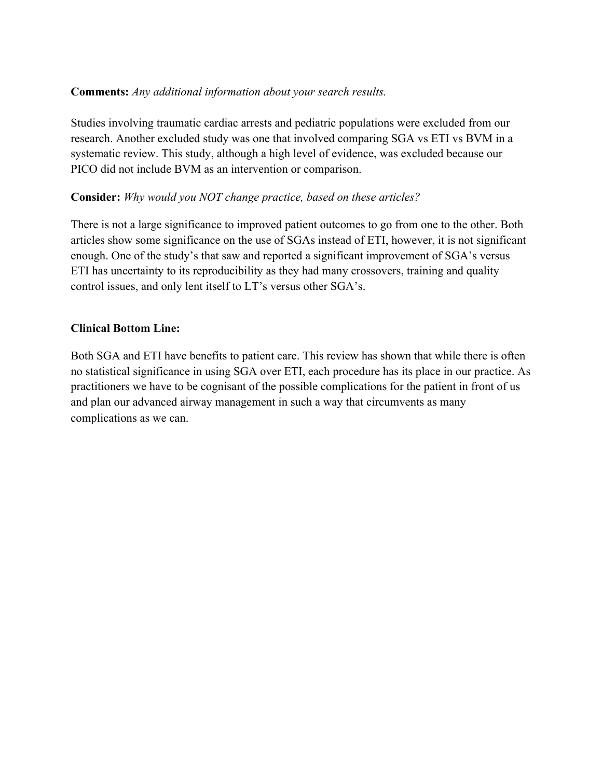#### **Comments:** *Any additional information about your search results.*

Studies involving traumatic cardiac arrests and pediatric populations were excluded from our research. Another excluded study was one that involved comparing SGA vs ETI vs BVM in a systematic review. This study, although a high level of evidence, was excluded because our PICO did not include BVM as an intervention or comparison.

#### **Consider:** *Why would you NOT change practice, based on these articles?*

There is not a large significance to improved patient outcomes to go from one to the other. Both articles show some significance on the use of SGAs instead of ETI, however, it is not significant enough. One of the study's that saw and reported a significant improvement of SGA's versus ETI has uncertainty to its reproducibility as they had many crossovers, training and quality control issues, and only lent itself to LT's versus other SGA's.

#### **Clinical Bottom Line:**

Both SGA and ETI have benefits to patient care. This review has shown that while there is often no statistical significance in using SGA over ETI, each procedure has its place in our practice. As practitioners we have to be cognisant of the possible complications for the patient in front of us and plan our advanced airway management in such a way that circumvents as many complications as we can.